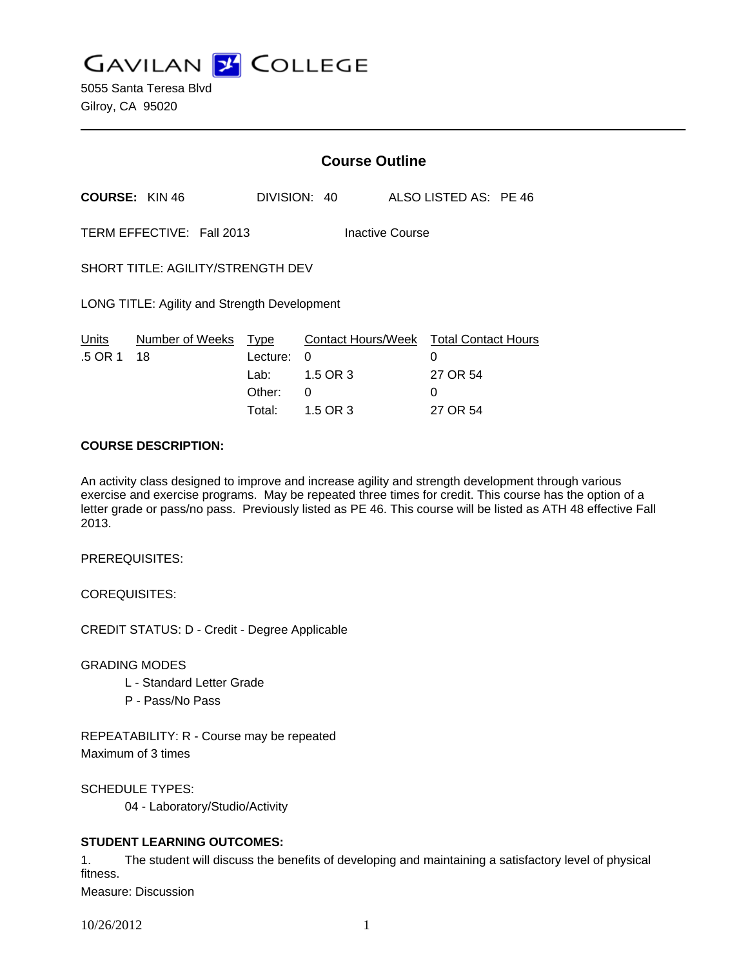**GAVILAN J COLLEGE** 

|                                              | <b>Course Outline</b>                        |                                                             |                                                              |  |
|----------------------------------------------|----------------------------------------------|-------------------------------------------------------------|--------------------------------------------------------------|--|
| <b>COURSE: KIN 46</b>                        |                                              | DIVISION: 40                                                | ALSO LISTED AS: PE 46                                        |  |
| TERM EFFECTIVE: Fall 2013<br>Inactive Course |                                              |                                                             |                                                              |  |
| SHORT TITLE: AGILITY/STRENGTH DEV            |                                              |                                                             |                                                              |  |
| LONG TITLE: Agility and Strength Development |                                              |                                                             |                                                              |  |
| Number of Weeks<br>Units<br>.5 OR 1<br>18    | Type<br>Lecture:<br>Lab:<br>Other:<br>Total: | <b>Contact Hours/Week</b><br>0<br>1.5 OR 3<br>0<br>1.5 OR 3 | <b>Total Contact Hours</b><br>0<br>27 OR 54<br>0<br>27 OR 54 |  |

#### **COURSE DESCRIPTION:**

An activity class designed to improve and increase agility and strength development through various exercise and exercise programs. May be repeated three times for credit. This course has the option of a letter grade or pass/no pass. Previously listed as PE 46. This course will be listed as ATH 48 effective Fall 2013.

PREREQUISITES:

COREQUISITES:

CREDIT STATUS: D - Credit - Degree Applicable

GRADING MODES

- L Standard Letter Grade
- P Pass/No Pass

REPEATABILITY: R - Course may be repeated Maximum of 3 times

SCHEDULE TYPES:

04 - Laboratory/Studio/Activity

## **STUDENT LEARNING OUTCOMES:**

1. The student will discuss the benefits of developing and maintaining a satisfactory level of physical fitness.

Measure: Discussion

10/26/2012 1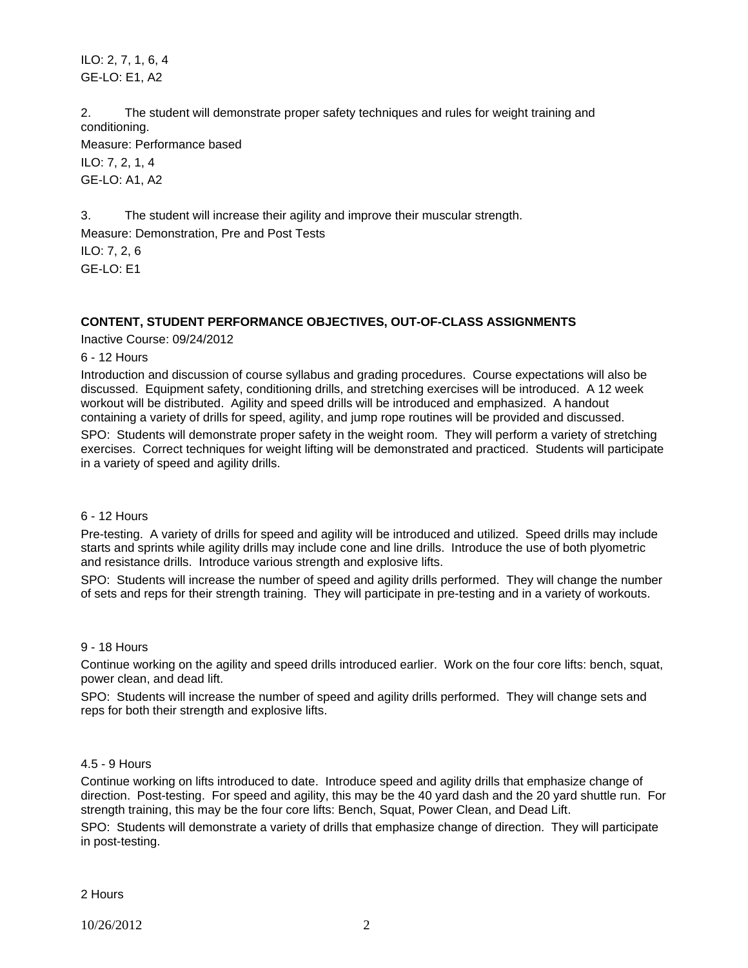ILO: 2, 7, 1, 6, 4 GE-LO: E1, A2

2. The student will demonstrate proper safety techniques and rules for weight training and conditioning.

Measure: Performance based ILO: 7, 2, 1, 4 GE-LO: A1, A2

3. The student will increase their agility and improve their muscular strength.

Measure: Demonstration, Pre and Post Tests

ILO: 7, 2, 6 GE-LO: E1

# **CONTENT, STUDENT PERFORMANCE OBJECTIVES, OUT-OF-CLASS ASSIGNMENTS**

Inactive Course: 09/24/2012

### 6 - 12 Hours

Introduction and discussion of course syllabus and grading procedures. Course expectations will also be discussed. Equipment safety, conditioning drills, and stretching exercises will be introduced. A 12 week workout will be distributed. Agility and speed drills will be introduced and emphasized. A handout containing a variety of drills for speed, agility, and jump rope routines will be provided and discussed.

SPO: Students will demonstrate proper safety in the weight room. They will perform a variety of stretching exercises. Correct techniques for weight lifting will be demonstrated and practiced. Students will participate in a variety of speed and agility drills.

## 6 - 12 Hours

Pre-testing. A variety of drills for speed and agility will be introduced and utilized. Speed drills may include starts and sprints while agility drills may include cone and line drills. Introduce the use of both plyometric and resistance drills. Introduce various strength and explosive lifts.

SPO: Students will increase the number of speed and agility drills performed. They will change the number of sets and reps for their strength training. They will participate in pre-testing and in a variety of workouts.

## 9 - 18 Hours

Continue working on the agility and speed drills introduced earlier. Work on the four core lifts: bench, squat, power clean, and dead lift.

SPO: Students will increase the number of speed and agility drills performed. They will change sets and reps for both their strength and explosive lifts.

## 4.5 - 9 Hours

Continue working on lifts introduced to date. Introduce speed and agility drills that emphasize change of direction. Post-testing. For speed and agility, this may be the 40 yard dash and the 20 yard shuttle run. For strength training, this may be the four core lifts: Bench, Squat, Power Clean, and Dead Lift. SPO: Students will demonstrate a variety of drills that emphasize change of direction. They will participate in post-testing.

2 Hours

10/26/2012 2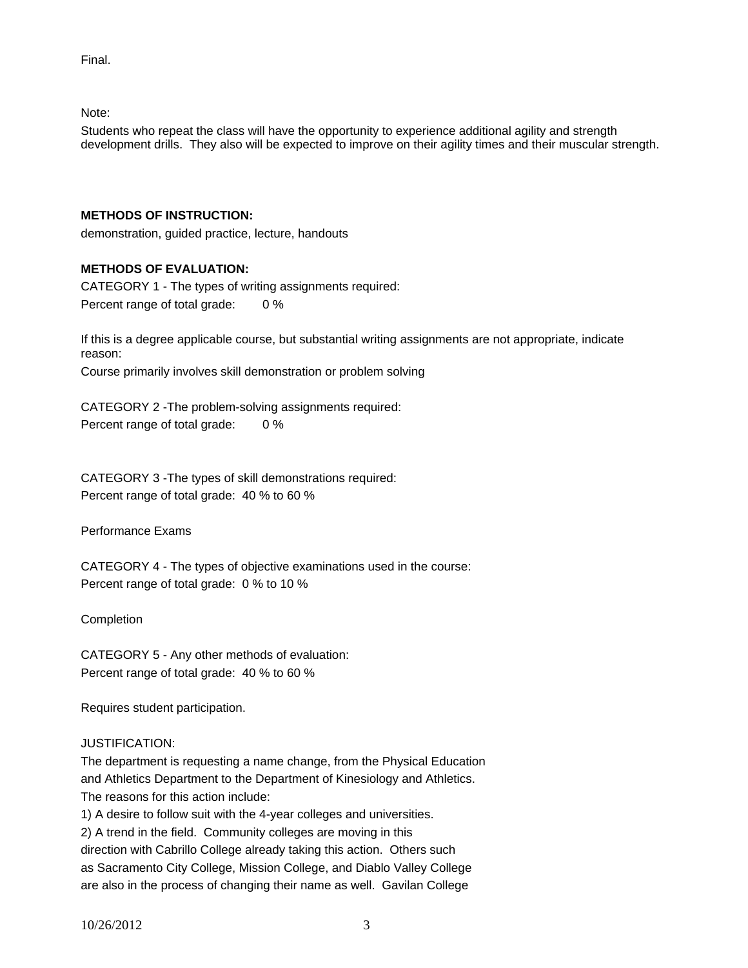Final.

Note:

Students who repeat the class will have the opportunity to experience additional agility and strength development drills. They also will be expected to improve on their agility times and their muscular strength.

## **METHODS OF INSTRUCTION:**

demonstration, guided practice, lecture, handouts

## **METHODS OF EVALUATION:**

CATEGORY 1 - The types of writing assignments required: Percent range of total grade: 0 %

If this is a degree applicable course, but substantial writing assignments are not appropriate, indicate reason:

Course primarily involves skill demonstration or problem solving

CATEGORY 2 -The problem-solving assignments required: Percent range of total grade: 0 %

CATEGORY 3 -The types of skill demonstrations required: Percent range of total grade: 40 % to 60 %

Performance Exams

CATEGORY 4 - The types of objective examinations used in the course: Percent range of total grade: 0 % to 10 %

Completion

CATEGORY 5 - Any other methods of evaluation: Percent range of total grade: 40 % to 60 %

Requires student participation.

## JUSTIFICATION:

The department is requesting a name change, from the Physical Education and Athletics Department to the Department of Kinesiology and Athletics. The reasons for this action include:

1) A desire to follow suit with the 4-year colleges and universities.

2) A trend in the field. Community colleges are moving in this direction with Cabrillo College already taking this action. Others such as Sacramento City College, Mission College, and Diablo Valley College are also in the process of changing their name as well. Gavilan College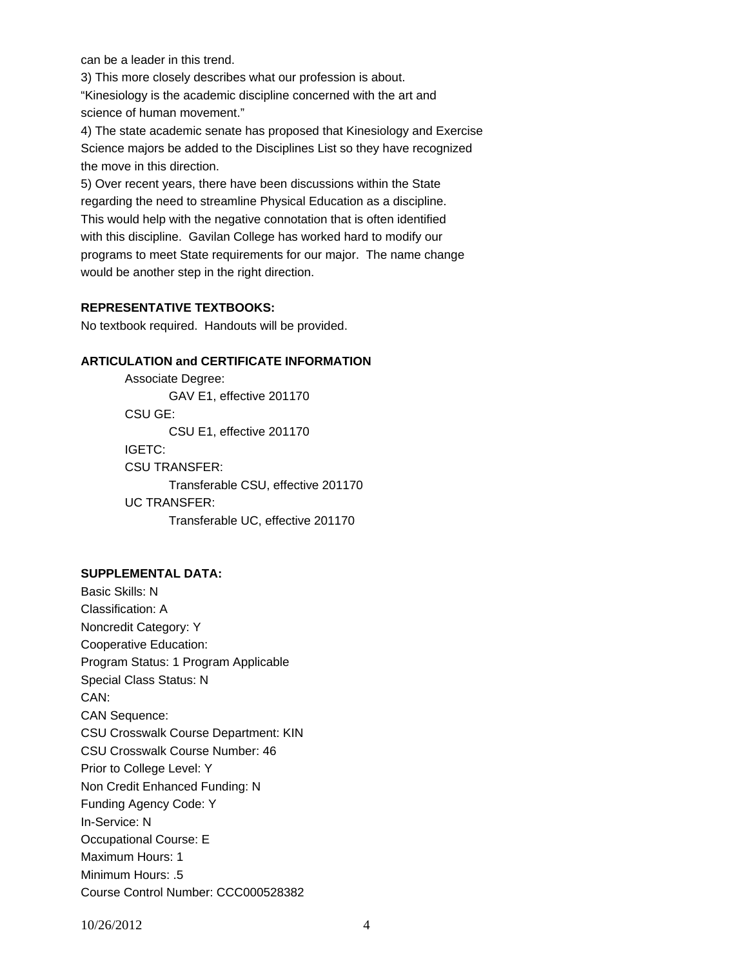can be a leader in this trend.

3) This more closely describes what our profession is about.

"Kinesiology is the academic discipline concerned with the art and science of human movement."

4) The state academic senate has proposed that Kinesiology and Exercise Science majors be added to the Disciplines List so they have recognized the move in this direction.

5) Over recent years, there have been discussions within the State regarding the need to streamline Physical Education as a discipline. This would help with the negative connotation that is often identified with this discipline. Gavilan College has worked hard to modify our programs to meet State requirements for our major. The name change would be another step in the right direction.

### **REPRESENTATIVE TEXTBOOKS:**

No textbook required. Handouts will be provided.

### **ARTICULATION and CERTIFICATE INFORMATION**

 Transferable CSU, effective 201170 UC TRANSFER: Transferable UC, effective 201170 Associate Degree: GAV E1, effective 201170 CSU GE: CSU E1, effective 201170 IGETC: CSU TRANSFER:

## **SUPPLEMENTAL DATA:**

Basic Skills: N Classification: A Noncredit Category: Y Cooperative Education: Program Status: 1 Program Applicable Special Class Status: N CAN: CAN Sequence: CSU Crosswalk Course Department: KIN CSU Crosswalk Course Number: 46 Prior to College Level: Y Non Credit Enhanced Funding: N Funding Agency Code: Y In-Service: N Occupational Course: E Maximum Hours: 1 Minimum Hours: .5 Course Control Number: CCC000528382